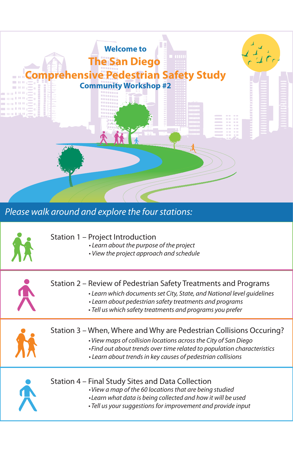

Please walk around and explore the four stations:



## Station 1 – Project Introduction

- Learn about the purpose of the project
- View the project approach and schedule



- Learn which documents set City, State, and National level guidelines
- Learn about pedestrian safety treatments and programs
- Tell us which safety treatments and programs you prefer



## Station 3 – When, Where and Why are Pedestrian Collisions Occuring?

- View maps of collision locations across the City of San Diego
- Find out about trends over time related to population characteristics
- Learn about trends in key causes of pedestrian collisions



## Station 4 – Final Study Sites and Data Collection

- View a map of the 60 locations that are being studied
- Learn what data is being collected and how it will be used
- Tell us your suggestions for improvement and provide input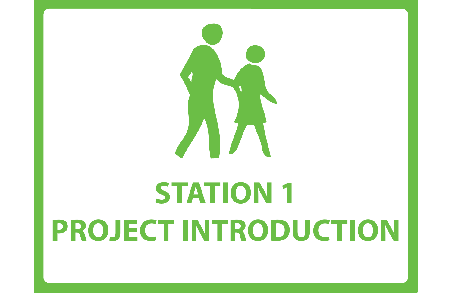

# **STATION 1 PROJECT INTRODUCTION**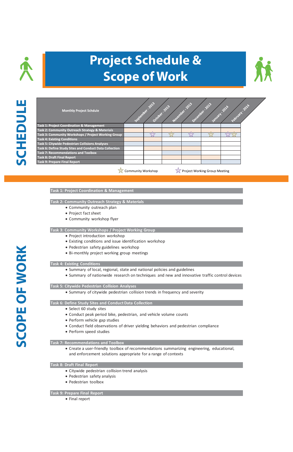



| <b>Monthly Project Schdule</b>                         | September | 2013-<br>October | 2013<br><b>Lovember</b> | 2013-<br>December | 1013<br>landari | <b>2014</b><br>February | <b>2014</b> |
|--------------------------------------------------------|-----------|------------------|-------------------------|-------------------|-----------------|-------------------------|-------------|
| <b>Task 1: Project Coordination &amp; Management</b>   |           |                  |                         |                   |                 |                         |             |
| Task 2: Community Outreach Strategy & Materials        |           |                  |                         |                   |                 |                         |             |
| Task 3: Community Workshops / Project Working Group    |           |                  |                         |                   |                 |                         |             |
| <b>Task 4: Existing Conditions</b>                     |           |                  |                         |                   |                 |                         |             |
| <b>Task 5: Citywide Pedestrian Collisions Analyses</b> |           |                  |                         |                   |                 |                         |             |
| Task 6: Define Study Sites and Conduct Data Collection |           |                  |                         |                   |                 |                         |             |
| <b>Task 7: Recommendations and Toolbox</b>             |           |                  |                         |                   |                 |                         |             |
| <b>Task 8: Draft Final Report</b>                      |           |                  |                         |                   |                 |                         |             |
| <b>Task 9: Prepare Final Report</b>                    |           |                  |                         |                   |                 |                         |             |
|                                                        |           |                  |                         |                   |                 |                         |             |

Community Workshop

Project Working Group Meeting

#### **Task 1: Project Coordination & Management**

#### **Task 2: Community Outreach Strategy & Materials**

- Community outreach plan
- Project fact sheet
- Community workshop flyer

#### **Task 3: Community Workshops / Project Working Group**

- Project introduction workshop
- Existing conditions and issue identification workshop
- Pedestrian safety guidelines workshop
- Bi-monthly project working group meetings

#### **Task 4: Existing Conditions**

- Summary of local, regional, state and national policies and guidelines
- Summary of nationwide research on techniques and new and innovative traffic control devices

#### **Task 5: Citywide Pedestrian Collision Analyses**

• Summary of citywide pedestrian collision trends in frequency and severity

#### **Task 6: Define Study Sites and Conduct Data Collection**

- Select 60 study sites
- Conduct peak period bike, pedestrian, and vehicle volume counts
- Perform vehicle gap studies
- Conduct field observations of driver yielding behaviors and pedestrian compliance
- · Perform speed studies

#### **Task 7: Recommendations and Toolbox**

• Create a user-friendly toolbox of recommendations summarizing engineering, educational, and enforcement solutions appropriate for a range of contexts

#### **Task 8: Draft Final Report**

- Citywide pedestrian collision trend analysis
- Pedestrian safety analysis
- · Pedestrian toolbox

#### **Task 9: Prepare Final Report**

• Final report